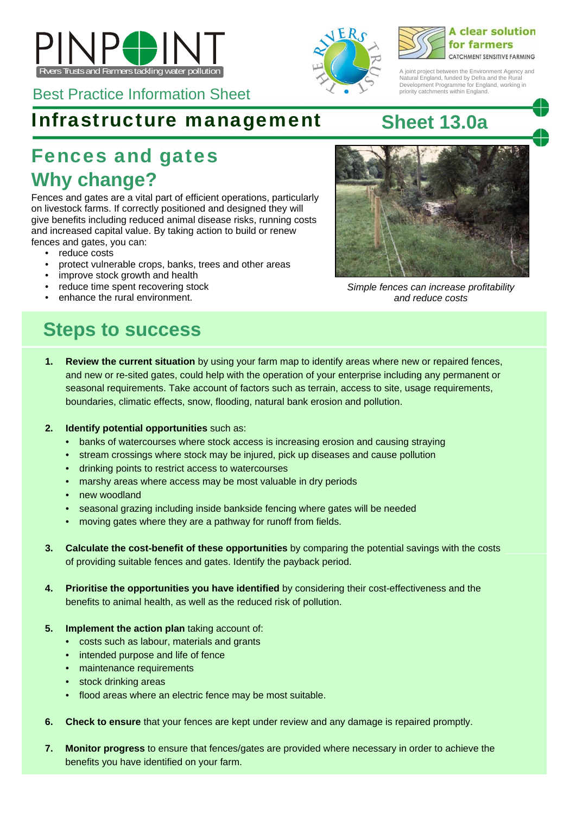



## Infrastructure management **Sheet 13.0a**

# **Why change?**  Fences and gates

Fences and gates are a vital part of efficient operations, particularly on livestock farms. If correctly positioned and designed they will give benefits including reduced animal disease risks, running costs and increased capital value. By taking action to build or renew fences and gates, you can:

- reduce costs
- protect vulnerable crops, banks, trees and other areas
- improve stock growth and health
- reduce time spent recovering stock
- enhance the rural environment.

## **Steps to success**

- **1. Review the current situation** by using your farm map to identify areas where new or repaired fences, and new or re-sited gates, could help with the operation of your enterprise including any permanent or seasonal requirements. Take account of factors such as terrain, access to site, usage requirements, boundaries, climatic effects, snow, flooding, natural bank erosion and pollution.
- **2. Identify potential opportunities** such as:
	- banks of watercourses where stock access is increasing erosion and causing straying
	- stream crossings where stock may be injured, pick up diseases and cause pollution
	- drinking points to restrict access to watercourses
	- marshy areas where access may be most valuable in dry periods
	- new woodland
	- seasonal grazing including inside bankside fencing where gates will be needed
	- moving gates where they are a pathway for runoff from fields.
- **3. Calculate the cost-benefit of these opportunities** by comparing the potential savings with the costs of providing suitable fences and gates. Identify the payback period.
- **4. Prioritise the opportunities you have identified** by considering their cost-effectiveness and the benefits to animal health, as well as the reduced risk of pollution.
- **5. Implement the action plan** taking account of:
	- costs such as labour, materials and grants
	- intended purpose and life of fence
	- maintenance requirements
	- stock drinking areas
	- flood areas where an electric fence may be most suitable.
- **6. Check to ensure** that your fences are kept under review and any damage is repaired promptly.
- **7. Monitor progress** to ensure that fences/gates are provided where necessary in order to achieve the benefits you have identified on your farm.



*and reduce costs* 



A joint project between the Environment Agency and Natural England, funded by Defra and the Rural Development Programme for England, working in

priority catchments within England.